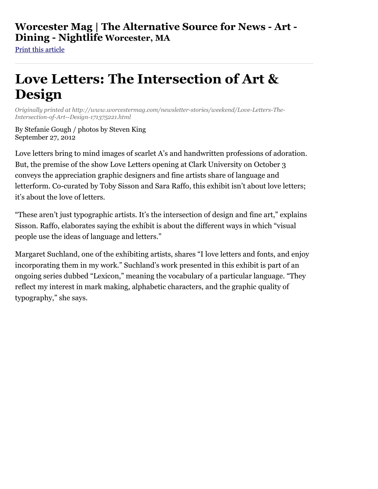## **Worcester Mag | The Alternative Source for News - Art - Dining - Nightlife Worcester, MA**

[Print this article](http://www.worcestermag.com/internal?st=print&id=171375221&path=/newsletter-stories/weekend#)

## **Love Letters: The Intersection of Art & Design**

*Originally printed at http://www.worcestermag.com/newsletter-stories/weekend/Love-Letters-The-Intersection-of-Art--Design-171375221.html*

By Stefanie Gough / photos by Steven King September 27, 2012

Love letters bring to mind images of scarlet A's and handwritten professions of adoration. But, the premise of the show Love Letters opening at Clark University on October 3 conveys the appreciation graphic designers and fine artists share of language and letterform. Co-curated by Toby Sisson and Sara Raffo, this exhibit isn't about love letters; it's about the love of letters.

"These aren't just typographic artists. It's the intersection of design and fine art," explains Sisson. Raffo, elaborates saying the exhibit is about the different ways in which "visual people use the ideas of language and letters."

Margaret Suchland, one of the exhibiting artists, shares "I love letters and fonts, and enjoy incorporating them in my work." Suchland's work presented in this exhibit is part of an ongoing series dubbed "Lexicon," meaning the vocabulary of a particular language. "They reflect my interest in mark making, alphabetic characters, and the graphic quality of typography," she says.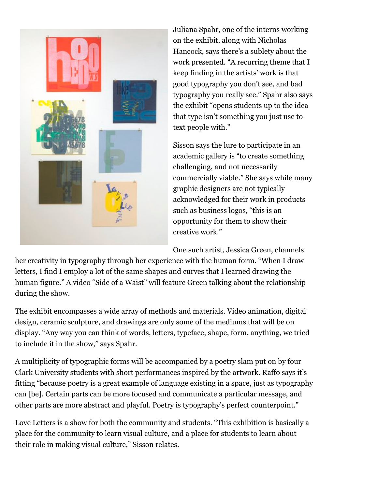

Juliana Spahr, one of the interns working on the exhibit, along with Nicholas Hancock, says there's a sublety about the work presented. "A recurring theme that I keep finding in the artists' work is that good typography you don't see, and bad typography you really see." Spahr also says the exhibit "opens students up to the idea that type isn't something you just use to text people with."

Sisson says the lure to participate in an academic gallery is "to create something challenging, and not necessarily commercially viable." She says while many graphic designers are not typically acknowledged for their work in products such as business logos, "this is an opportunity for them to show their creative work."

One such artist, Jessica Green, channels

her creativity in typography through her experience with the human form. "When I draw letters, I find I employ a lot of the same shapes and curves that I learned drawing the human figure." A video "Side of a Waist" will feature Green talking about the relationship during the show.

The exhibit encompasses a wide array of methods and materials. Video animation, digital design, ceramic sculpture, and drawings are only some of the mediums that will be on display. "Any way you can think of words, letters, typeface, shape, form, anything, we tried to include it in the show," says Spahr.

A multiplicity of typographic forms will be accompanied by a poetry slam put on by four Clark University students with short performances inspired by the artwork. Raffo says it's fitting "because poetry is a great example of language existing in a space, just as typography can [be]. Certain parts can be more focused and communicate a particular message, and other parts are more abstract and playful. Poetry is typography's perfect counterpoint."

Love Letters is a show for both the community and students. "This exhibition is basically a place for the community to learn visual culture, and a place for students to learn about their role in making visual culture," Sisson relates.